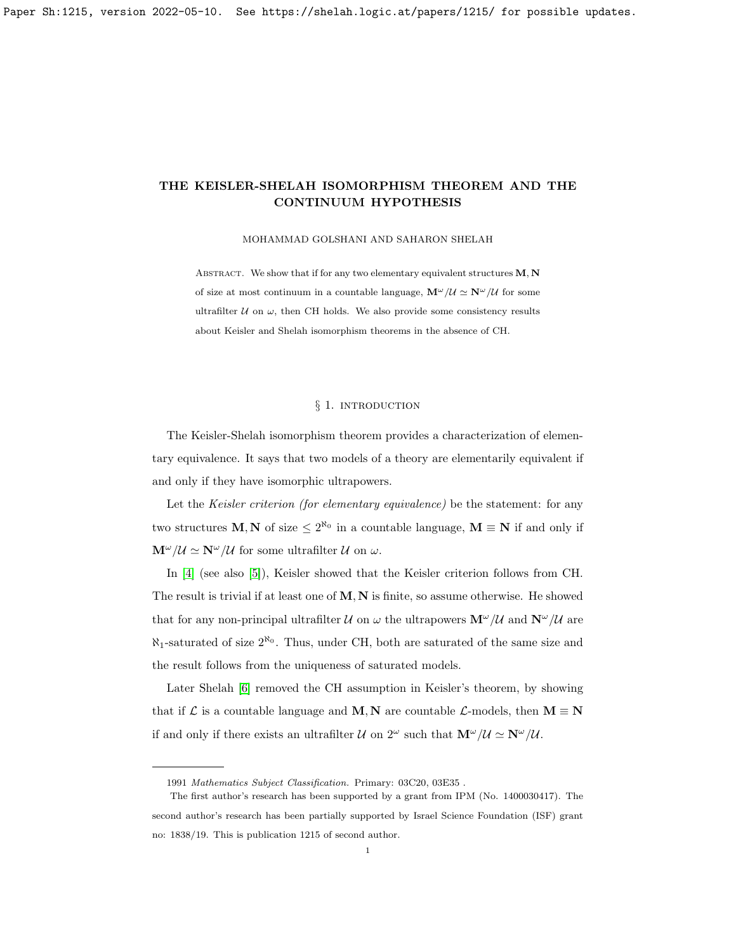MOHAMMAD GOLSHANI AND SAHARON SHELAH

ABSTRACT. We show that if for any two elementary equivalent structures  $M, N$ of size at most continuum in a countable language,  $\mathbf{M}^{\omega}/\mathcal{U} \simeq \mathbf{N}^{\omega}/\mathcal{U}$  for some ultrafilter  $U$  on  $\omega$ , then CH holds. We also provide some consistency results about Keisler and Shelah isomorphism theorems in the absence of CH.

# § 1. INTRODUCTION

The Keisler-Shelah isomorphism theorem provides a characterization of elementary equivalence. It says that two models of a theory are elementarily equivalent if and only if they have isomorphic ultrapowers.

Let the *Keisler criterion (for elementary equivalence)* be the statement: for any two structures **M**, **N** of size  $\leq 2^{\aleph_0}$  in a countable language, **M**  $\equiv$  **N** if and only if  $\mathbf{M}^{\omega}/\mathcal{U} \simeq \mathbf{N}^{\omega}/\mathcal{U}$  for some ultrafilter  $\mathcal{U}$  on  $\omega$ .

In [\[4\]](#page-8-0) (see also [\[5\]](#page-8-1)), Keisler showed that the Keisler criterion follows from CH. The result is trivial if at least one of  $M, N$  is finite, so assume otherwise. He showed that for any non-principal ultrafilter U on  $\omega$  the ultrapowers  $\mathbf{M}^{\omega}/U$  and  $\mathbf{N}^{\omega}/U$  are  $\aleph_1$ -saturated of size  $2^{\aleph_0}$ . Thus, under CH, both are saturated of the same size and the result follows from the uniqueness of saturated models.

Later Shelah [\[6\]](#page-8-2) removed the CH assumption in Keisler's theorem, by showing that if L is a countable language and M, N are countable L-models, then  $M \equiv N$ if and only if there exists an ultrafilter U on  $2^{\omega}$  such that  $\mathbf{M}^{\omega}/\mathcal{U} \simeq \mathbf{N}^{\omega}/\mathcal{U}$ .

<sup>1991</sup> Mathematics Subject Classification. Primary: 03C20, 03E35 .

The first author's research has been supported by a grant from IPM (No. 1400030417). The second author's research has been partially supported by Israel Science Foundation (ISF) grant no: 1838/19. This is publication 1215 of second author.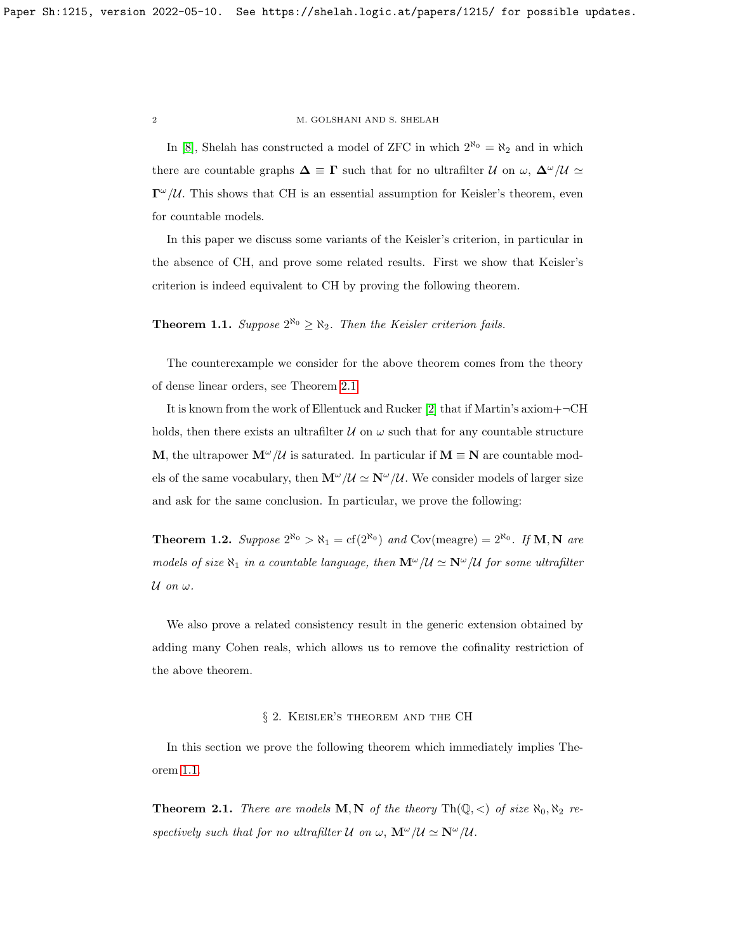In [\[8\]](#page-8-3), Shelah has constructed a model of ZFC in which  $2^{\aleph_0} = \aleph_2$  and in which there are countable graphs  $\Delta \equiv \Gamma$  such that for no ultrafilter U on  $\omega$ ,  $\Delta^{\omega}/U \simeq$  $\Gamma^{\omega}/\mathcal{U}$ . This shows that CH is an essential assumption for Keisler's theorem, even for countable models.

In this paper we discuss some variants of the Keisler's criterion, in particular in the absence of CH, and prove some related results. First we show that Keisler's criterion is indeed equivalent to CH by proving the following theorem.

<span id="page-1-1"></span>**Theorem 1.1.** Suppose  $2^{\aleph_0} \ge \aleph_2$ . Then the Keisler criterion fails.

The counterexample we consider for the above theorem comes from the theory of dense linear orders, see Theorem [2.1.](#page-1-0)

It is known from the work of Ellentuck and Rucker [\[2\]](#page-8-4) that if Martin's axiom+¬CH holds, then there exists an ultrafilter  $\mathcal U$  on  $\omega$  such that for any countable structure M, the ultrapower  $\mathbf{M}^{\omega}/\mathcal{U}$  is saturated. In particular if  $\mathbf{M} \equiv \mathbf{N}$  are countable models of the same vocabulary, then  $\mathbf{M}^{\omega}/\mathcal{U} \simeq \mathbf{N}^{\omega}/\mathcal{U}$ . We consider models of larger size and ask for the same conclusion. In particular, we prove the following:

<span id="page-1-2"></span>**Theorem 1.2.** Suppose  $2^{\aleph_0} > \aleph_1 = cf(2^{\aleph_0})$  and Cov(meagre) =  $2^{\aleph_0}$ . If **M**, **N** are models of size  $\aleph_1$  in a countable language, then  $\mathbf{M}^\omega/\mathcal{U} \simeq \mathbf{N}^\omega/\mathcal{U}$  for some ultrafilter  $\mathcal U$  on  $\omega$ .

We also prove a related consistency result in the generic extension obtained by adding many Cohen reals, which allows us to remove the cofinality restriction of the above theorem.

## § 2. Keisler's theorem and the CH

In this section we prove the following theorem which immediately implies Theorem [1.1.](#page-1-1)

<span id="page-1-0"></span>**Theorem 2.1.** There are models **M**, **N** of the theory  $\text{Th}(\mathbb{Q}, <)$  of size  $\aleph_0, \aleph_2$  respectively such that for no ultrafilter  $\mathcal U$  on  $\omega$ ,  $\mathbf{M}^\omega/\mathcal U \simeq \mathbf{N}^\omega/\mathcal U$ .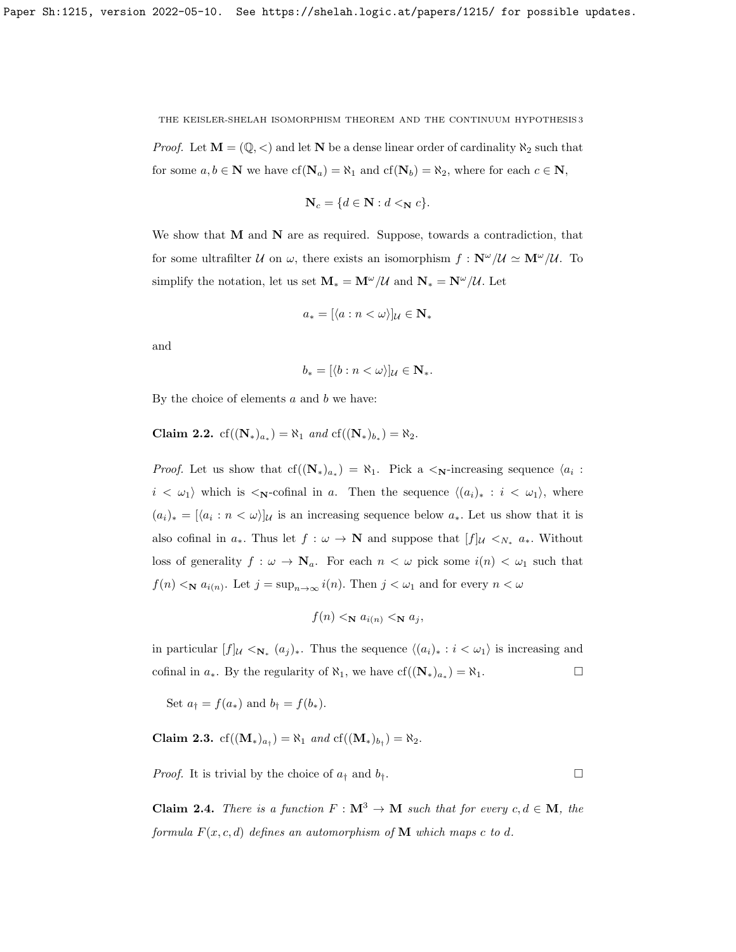*Proof.* Let  $\mathbf{M} = (\mathbb{Q}, \leq)$  and let  $\mathbf{N}$  be a dense linear order of cardinality  $\aleph_2$  such that for some  $a, b \in \mathbb{N}$  we have  $cf(\mathbb{N}_a) = \aleph_1$  and  $cf(\mathbb{N}_b) = \aleph_2$ , where for each  $c \in \mathbb{N}$ ,

$$
\mathbf{N}_c = \{d \in \mathbf{N} : d <_{\mathbf{N}} c\}.
$$

We show that  $M$  and  $N$  are as required. Suppose, towards a contradiction, that for some ultrafilter U on  $\omega$ , there exists an isomorphism  $f : \mathbb{N}^{\omega}/\mathcal{U} \simeq \mathbb{N}^{\omega}/\mathcal{U}$ . To simplify the notation, let us set  $\mathbf{M}_{*} = \mathbf{M}^{\omega}/\mathcal{U}$  and  $\mathbf{N}_{*} = \mathbf{N}^{\omega}/\mathcal{U}$ . Let

$$
a_* = [\langle a : n < \omega \rangle]_\mathcal{U} \in \mathbf{N}_*
$$

and

$$
b_*=[\langle b:n<\omega\rangle]_{\mathcal{U}}\in\mathbf{N}_*.
$$

By the choice of elements  $a$  and  $b$  we have:

Claim 2.2.  $cf((N_*)_{a_*}) = \aleph_1$  and  $cf((N_*)_{b_*}) = \aleph_2$ .

*Proof.* Let us show that  $cf((N_*)_{a_*}) = \aleph_1$ . Pick a  $\lt_N$ -increasing sequence  $\langle a_i :$  $i < \omega_1$  which is  $\langle \mathbf{N} \cdot \mathbf{C}$  is a  $a$ . Then the sequence  $\langle (a_i)_* : i < \omega_1 \rangle$ , where  $(a_i)_* = [\langle a_i : n < \omega \rangle]$ u is an increasing sequence below  $a_*$ . Let us show that it is also cofinal in  $a_*$ . Thus let  $f: \omega \to \mathbb{N}$  and suppose that  $[f]_{\mathcal{U}} \lt_{N_*} a_*$ . Without loss of generality  $f : \omega \to \mathbb{N}_a$ . For each  $n < \omega$  pick some  $i(n) < \omega_1$  such that  $f(n) \leq_{\mathbf{N}} a_{i(n)}$ . Let  $j = \sup_{n \to \infty} i(n)$ . Then  $j < \omega_1$  and for every  $n < \omega$ 

$$
f(n) <_{\mathbf{N}} a_{i(n)} <_{\mathbf{N}} a_j
$$

in particular  $[f]_U \lt_{\mathbf{N}_*} (a_j)_*.$  Thus the sequence  $\langle (a_i)_*: i \lt \omega_1 \rangle$  is increasing and cofinal in  $a_*$ . By the regularity of  $\aleph_1$ , we have  $cf((\mathbf{N}_*)_{a_*}) = \aleph_1$ .

Set  $a_{\dagger} = f(a_{\ast})$  and  $b_{\dagger} = f(b_{\ast}).$ 

<span id="page-2-1"></span>**Claim 2.3.**  $cf((\mathbf{M}_*)_{a_{\dagger}}) = \aleph_1$  and  $cf((\mathbf{M}_*)_{b_{\dagger}}) = \aleph_2$ .

*Proof.* It is trivial by the choice of  $a_{\dagger}$  and  $b_{\dagger}$ .

<span id="page-2-0"></span>**Claim 2.4.** There is a function  $F : M^3 \to M$  such that for every  $c, d \in M$ , the formula  $F(x, c, d)$  defines an automorphism of **M** which maps c to d.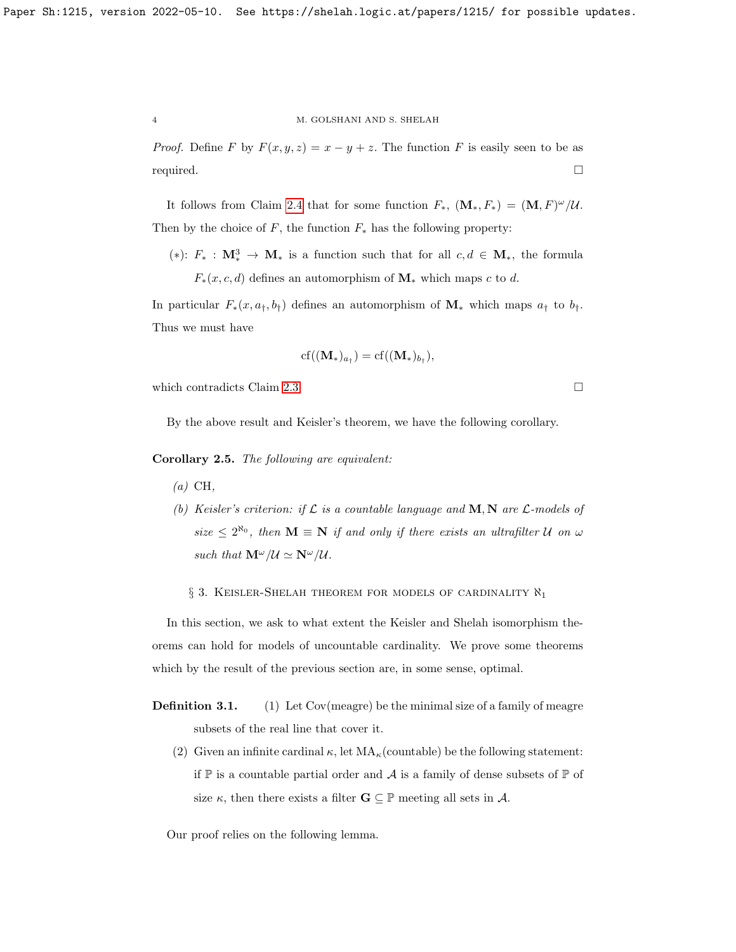*Proof.* Define F by  $F(x, y, z) = x - y + z$ . The function F is easily seen to be as required.

It follows from Claim [2.4](#page-2-0) that for some function  $F_*$ ,  $(\mathbf{M}_*, F_*) = (\mathbf{M}, F)^{\omega}/\mathcal{U}$ . Then by the choice of F, the function  $F_*$  has the following property:

(\*):  $F_*$  :  $\mathbf{M}_*^3$  →  $\mathbf{M}_*$  is a function such that for all  $c, d \in \mathbf{M}_*$ , the formula  $F_*(x, c, d)$  defines an automorphism of  $\mathbf{M}_*$  which maps c to d.

In particular  $F_*(x, a_{\dagger}, b_{\dagger})$  defines an automorphism of  $\mathbf{M}_*$  which maps  $a_{\dagger}$  to  $b_{\dagger}$ . Thus we must have

$$
cf((\mathbf{M}_{*})_{a_{\dagger}})=cf((\mathbf{M}_{*})_{b_{\dagger}}),
$$

which contradicts Claim [2.3.](#page-2-1)

By the above result and Keisler's theorem, we have the following corollary.

Corollary 2.5. The following are equivalent:

- $(a)$  CH,
- (b) Keisler's criterion: if  $\mathcal L$  is a countable language and  $M, N$  are  $\mathcal L$ -models of size  $\leq 2^{\aleph_0}$ , then  $\mathbf{M} \equiv \mathbf{N}$  if and only if there exists an ultrafilter U on  $\omega$ such that  $\mathbf{M}^{\omega}/\mathcal{U} \simeq \mathbf{N}^{\omega}/\mathcal{U}$ .
	- $\S$  3. Keisler-Shelah theorem for models of cardinality  $\aleph_1$

In this section, we ask to what extent the Keisler and Shelah isomorphism theorems can hold for models of uncountable cardinality. We prove some theorems which by the result of the previous section are, in some sense, optimal.

- **Definition 3.1.** (1) Let Cov(meagre) be the minimal size of a family of meagre subsets of the real line that cover it.
	- (2) Given an infinite cardinal  $\kappa$ , let  $MA_{\kappa}$ (countable) be the following statement: if  $\mathbb P$  is a countable partial order and  $\mathcal A$  is a family of dense subsets of  $\mathbb P$  of size  $\kappa$ , then there exists a filter  $\mathbf{G} \subseteq \mathbb{P}$  meeting all sets in A.

Our proof relies on the following lemma.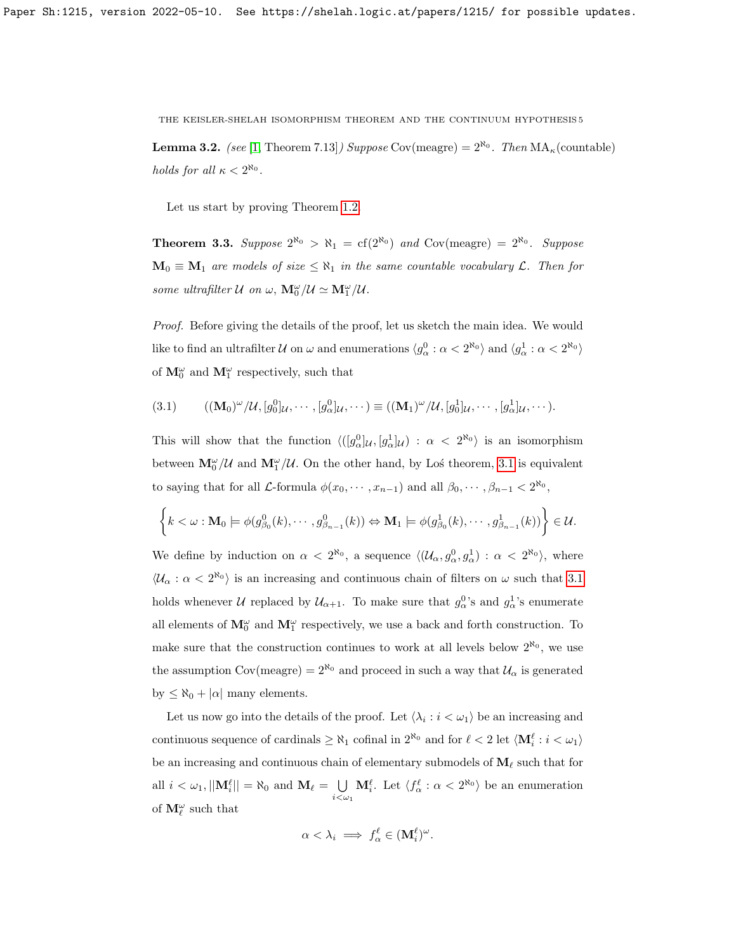**Lemma 3.2.** (see [\[1,](#page-8-5) Theorem 7.13]) Suppose Cov(meagre) =  $2^{\aleph_0}$ . Then  $MA_\kappa$ (countable) holds for all  $\kappa < 2^{\aleph_0}$ .

Let us start by proving Theorem [1.2.](#page-1-2)

**Theorem 3.3.** Suppose  $2^{\aleph_0} > \aleph_1 = \text{cf}(2^{\aleph_0})$  and  $\text{Cov}(\text{measure}) = 2^{\aleph_0}$ . Suppose  $M_0 \equiv M_1$  are models of size  $\leq \aleph_1$  in the same countable vocabulary  $\mathcal{L}$ . Then for some ultrafilter  $\mathcal U$  on  $\omega$ ,  $\mathbf{M}_0^{\omega}/\mathcal U \simeq \mathbf{M}_1^{\omega}/\mathcal U$ .

Proof. Before giving the details of the proof, let us sketch the main idea. We would like to find an ultrafilter  $\mathcal U$  on  $\omega$  and enumerations  $\langle g_\alpha^0 : \alpha < 2^{\aleph_0} \rangle$  and  $\langle g_\alpha^1 : \alpha < 2^{\aleph_0} \rangle$ of  $\mathbf{M}^{\omega}_0$  and  $\mathbf{M}^{\omega}_1$  respectively, such that

<span id="page-4-0"></span>
$$
(3.1) \qquad ((\mathbf{M}_0)^{\omega}/\mathcal{U}, [g_0^0]_{\mathcal{U}}, \cdots, [g_\alpha^0]_{\mathcal{U}}, \cdots) \equiv ((\mathbf{M}_1)^{\omega}/\mathcal{U}, [g_0^1]_{\mathcal{U}}, \cdots, [g_\alpha^1]_{\mathcal{U}}, \cdots).
$$

This will show that the function  $\langle ( [g_{\alpha}^0]_{\mathcal{U}}, [g_{\alpha}^1]_{\mathcal{U}} ) : \alpha < 2^{\aleph_0} \rangle$  is an isomorphism between  $\mathbf{M}_{0}^{\omega}/\mathcal{U}$  and  $\mathbf{M}_{1}^{\omega}/\mathcal{U}$ . On the other hand, by Loś theorem, [3.1](#page-4-0) is equivalent to saying that for all  $\mathcal{L}$ -formula  $\phi(x_0, \dots, x_{n-1})$  and all  $\beta_0, \dots, \beta_{n-1} < 2^{\aleph_0}$ ,

$$
\left\{k<\omega:\mathbf{M}_0\models\phi(g_{\beta_0}^0(k),\cdots,g_{\beta_{n-1}}^0(k))\Leftrightarrow \mathbf{M}_1\models\phi(g_{\beta_0}^1(k),\cdots,g_{\beta_{n-1}}^1(k))\right\}\in\mathcal{U}.
$$

We define by induction on  $\alpha < 2^{\aleph_0}$ , a sequence  $\langle (\mathcal{U}_{\alpha}, g_{\alpha}^0, g_{\alpha}^1) : \alpha < 2^{\aleph_0} \rangle$ , where  $\langle U_\alpha : \alpha < 2^{\aleph_0} \rangle$  is an increasing and continuous chain of filters on  $\omega$  such that [3.1](#page-4-0) holds whenever U replaced by  $\mathcal{U}_{\alpha+1}$ . To make sure that  $g_{\alpha}^{0}$ 's and  $g_{\alpha}^{1}$ 's enumerate all elements of  $\mathbf{M}_{0}^{\omega}$  and  $\mathbf{M}_{1}^{\omega}$  respectively, we use a back and forth construction. To make sure that the construction continues to work at all levels below  $2^{\aleph_0}$ , we use the assumption Cov(meagre) =  $2^{\aleph_0}$  and proceed in such a way that  $\mathcal{U}_\alpha$  is generated by  $\leq \aleph_0 + |\alpha|$  many elements.

Let us now go into the details of the proof. Let  $\langle \lambda_i : i < \omega_1 \rangle$  be an increasing and continuous sequence of cardinals  $\geq \aleph_1$  cofinal in  $2^{\aleph_0}$  and for  $\ell < 2$  let  $\langle \mathbf{M}^{\ell}_i : i < \omega_1 \rangle$ be an increasing and continuous chain of elementary submodels of  $M_\ell$  such that for all  $i < \omega_1$ ,  $||\mathbf{M}_i^{\ell}|| = \aleph_0$  and  $\mathbf{M}_{\ell} = \bigcup$  $i<\omega_1$  $\mathbf{M}_{i}^{\ell}$ . Let  $\langle f_{\alpha}^{\ell} : \alpha < 2^{\aleph_0} \rangle$  be an enumeration of  $\mathbf{M}_{\ell}^{\omega}$  such that

$$
\alpha < \lambda_i \implies f_{\alpha}^{\ell} \in (\mathbf{M}_i^{\ell})^{\omega}.
$$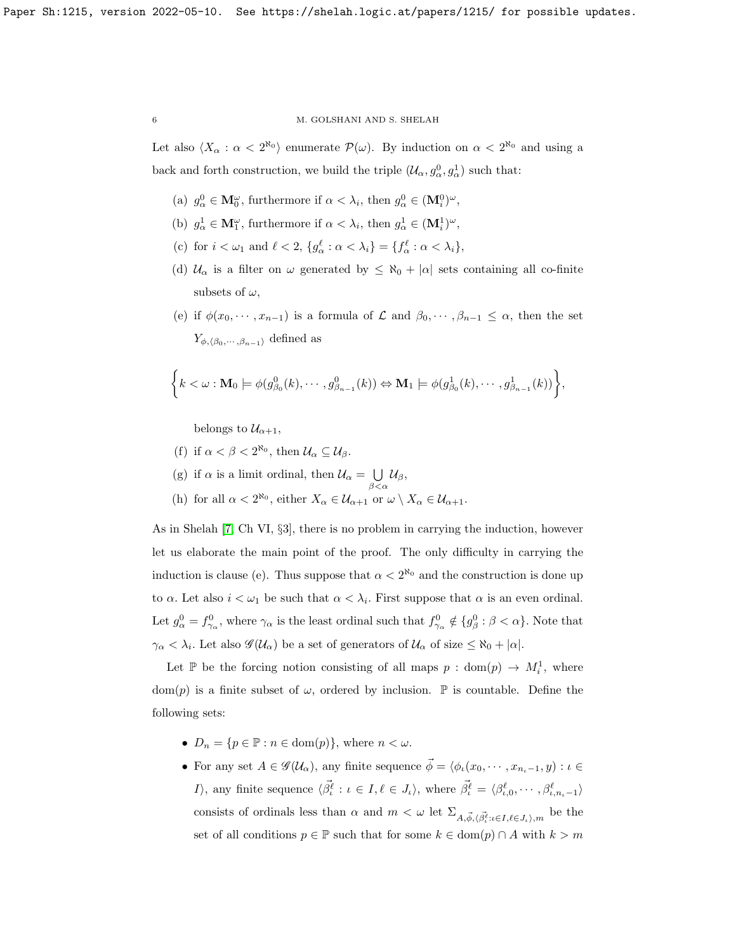Let also  $\langle X_\alpha : \alpha < 2^{\aleph_0} \rangle$  enumerate  $\mathcal{P}(\omega)$ . By induction on  $\alpha < 2^{\aleph_0}$  and using a back and forth construction, we build the triple  $(\mathcal{U}_{\alpha}, g_{\alpha}^0, g_{\alpha}^1)$  such that:

- (a)  $g_{\alpha}^0 \in \mathbf{M}_{0}^{\omega}$ , furthermore if  $\alpha < \lambda_i$ , then  $g_{\alpha}^0 \in (\mathbf{M}_i^0)^{\omega}$ ,
- (b)  $g_{\alpha}^1 \in \mathbf{M}_1^{\omega}$ , furthermore if  $\alpha < \lambda_i$ , then  $g_{\alpha}^1 \in (\mathbf{M}_i^1)^{\omega}$ ,
- (c) for  $i < \omega_1$  and  $\ell < 2$ ,  $\{g_\alpha^{\ell} : \alpha < \lambda_i\} = \{f_\alpha^{\ell} : \alpha < \lambda_i\},\$
- (d)  $U_{\alpha}$  is a filter on  $\omega$  generated by  $\leq \aleph_0 + |\alpha|$  sets containing all co-finite subsets of  $\omega$ ,
- (e) if  $\phi(x_0, \dots, x_{n-1})$  is a formula of  $\mathcal L$  and  $\beta_0, \dots, \beta_{n-1} \leq \alpha$ , then the set  $Y_{\phi,\langle\beta_0,\cdots,\beta_{n-1}\rangle}$  defined as

$$
\left\{k<\omega:\mathbf{M}_0\models\phi(g_{\beta_0}^0(k),\cdots,g_{\beta_{n-1}}^0(k))\Leftrightarrow\mathbf{M}_1\models\phi(g_{\beta_0}^1(k),\cdots,g_{\beta_{n-1}}^1(k))\right\},\
$$

belongs to  $\mathcal{U}_{\alpha+1}$ ,

- (f) if  $\alpha < \beta < 2^{\aleph_0}$ , then  $\mathcal{U}_\alpha \subseteq \mathcal{U}_\beta$ .
- (g) if  $\alpha$  is a limit ordinal, then  $\mathcal{U}_{\alpha} = \bigcup$  $\bigcup_{\beta<\alpha} \mathcal{U}_{\beta},$
- (h) for all  $\alpha < 2^{\aleph_0}$ , either  $X_\alpha \in \mathcal{U}_{\alpha+1}$  or  $\omega \setminus X_\alpha \in \mathcal{U}_{\alpha+1}$ .

As in Shelah [\[7,](#page-8-6) Ch VI, §3], there is no problem in carrying the induction, however let us elaborate the main point of the proof. The only difficulty in carrying the induction is clause (e). Thus suppose that  $\alpha < 2^{\aleph_0}$  and the construction is done up to  $\alpha$ . Let also  $i < \omega_1$  be such that  $\alpha < \lambda_i$ . First suppose that  $\alpha$  is an even ordinal. Let  $g_{\alpha}^0 = f_{\gamma_{\alpha}}^0$ , where  $\gamma_{\alpha}$  is the least ordinal such that  $f_{\gamma_{\alpha}}^0 \notin \{g_{\beta}^0 : \beta < \alpha\}$ . Note that  $\gamma_{\alpha} < \lambda_i$ . Let also  $\mathscr{G}(\mathcal{U}_{\alpha})$  be a set of generators of  $\mathcal{U}_{\alpha}$  of size  $\leq \aleph_0 + |\alpha|$ .

Let P be the forcing notion consisting of all maps  $p : dom(p) \rightarrow M_i^1$ , where dom(p) is a finite subset of  $\omega$ , ordered by inclusion. P is countable. Define the following sets:

- $D_n = \{p \in \mathbb{P} : n \in \text{dom}(p)\}\text{, where } n < \omega\text{.}$
- For any set  $A \in \mathscr{G}(\mathcal{U}_{\alpha})$ , any finite sequence  $\vec{\phi} = \langle \phi_{\iota}(x_0, \dots, x_{n_{\iota}-1}, y) : \iota \in$ *I*), any finite sequence  $\langle \vec{\beta}^{\ell}_{t} : t \in I, \ell \in J_{\iota} \rangle$ , where  $\vec{\beta}^{\ell}_{t} = \langle \beta^{\ell}_{\iota,0}, \cdots, \beta^{\ell}_{\iota,n_{\iota}-1} \rangle$ consists of ordinals less than  $\alpha$  and  $m < \omega$  let  $\Sigma_{A,\vec{\phi},\langle\vec{\beta}_i^{\ell}:\iota\in I,\ell\in J_{\iota}\rangle,m}$  be the set of all conditions  $p \in \mathbb{P}$  such that for some  $k \in \text{dom}(p) \cap A$  with  $k > m$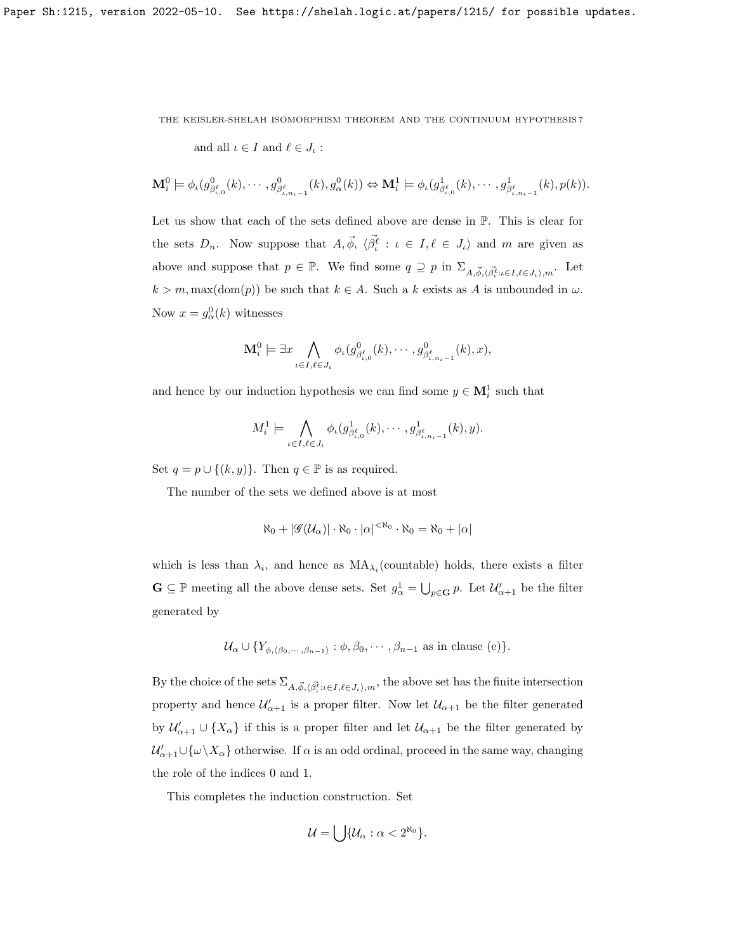and all  $\iota \in I$  and  $\ell \in J_{\iota}$ :

$$
\mathbf{M}_{i}^{0} \models \phi_{\iota}(g_{\beta_{\iota,0}^{\ell}}^{0}(k), \cdots, g_{\beta_{\iota,n_{\iota}-1}^{\ell}}^{0}(k), g_{\alpha}^{0}(k)) \Leftrightarrow \mathbf{M}_{i}^{1} \models \phi_{\iota}(g_{\beta_{\iota,0}^{\ell}}^{1}(k), \cdots, g_{\beta_{\iota,n_{\iota}-1}^{\ell}}^{1}(k), p(k)).
$$

Let us show that each of the sets defined above are dense in P. This is clear for the sets  $D_n$ . Now suppose that  $A, \vec{\phi}, \langle \vec{\beta}_{\iota}^{\ell} : \iota \in I, \ell \in J_{\iota} \rangle$  and m are given as above and suppose that  $p \in \mathbb{P}$ . We find some  $q \supseteq p$  in  $\Sigma_{A, \vec{\phi}, \langle \vec{\beta}^{\ell}_t : t \in I, \ell \in J_t \rangle, m}$ . Let  $k > m$ , max(dom(p)) be such that  $k \in A$ . Such a k exists as A is unbounded in  $\omega$ . Now  $x = g^0_\alpha(k)$  witnesses

$$
\mathbf{M}_{i}^{0} \models \exists x \bigwedge_{\iota \in I, \ell \in J_{\iota}} \phi_{\iota}(g_{\beta_{\iota,0}^{\ell}}^{0}(k), \cdots, g_{\beta_{\iota,n_{\iota}-1}^{\ell}}^{0}(k), x),
$$

and hence by our induction hypothesis we can find some  $y \in \mathbf{M}_i^1$  such that

$$
M_i^1 \models \bigwedge_{\iota \in I, \ell \in J_{\iota}} \phi_{\iota}(g_{\beta^{\ell}_{\iota,0}}^1(k), \cdots, g_{\beta^{\ell}_{\iota,n_{\iota}-1}}^1(k), y).
$$

Set  $q = p \cup \{(k, y)\}\$ . Then  $q \in \mathbb{P}$  is as required.

The number of the sets we defined above is at most

$$
\aleph_0 + |\mathscr{G}(\mathcal{U}_\alpha)| \cdot \aleph_0 \cdot |\alpha|^{<\aleph_0} \cdot \aleph_0 = \aleph_0 + |\alpha|
$$

which is less than  $\lambda_i$ , and hence as  $MA_{\lambda_i}$  (countable) holds, there exists a filter  $\mathbf{G} \subseteq \mathbb{P}$  meeting all the above dense sets. Set  $g^1_\alpha = \bigcup_{p \in \mathbf{G}} p$ . Let  $\mathcal{U}'_{\alpha+1}$  be the filter generated by

$$
\mathcal{U}_{\alpha} \cup \{ Y_{\phi, \langle \beta_0, \cdots, \beta_{n-1} \rangle} : \phi, \beta_0, \cdots, \beta_{n-1} \text{ as in clause (e)} \}.
$$

By the choice of the sets  $\Sigma_{A,\vec{\phi},\langle\vec{\beta}^{\ell}_t: \iota\in I,\ell\in J_t\rangle,m}$ , the above set has the finite intersection property and hence  $\mathcal{U}'_{\alpha+1}$  is a proper filter. Now let  $\mathcal{U}_{\alpha+1}$  be the filter generated by  $\mathcal{U}'_{\alpha+1} \cup \{X_\alpha\}$  if this is a proper filter and let  $\mathcal{U}_{\alpha+1}$  be the filter generated by  $\mathcal{U}'_{\alpha+1}\cup\{\omega\setminus X_\alpha\}$  otherwise. If  $\alpha$  is an odd ordinal, proceed in the same way, changing the role of the indices 0 and 1.

This completes the induction construction. Set

$$
\mathcal{U} = \bigcup \{ \mathcal{U}_{\alpha} : \alpha < 2^{\aleph_0} \}.
$$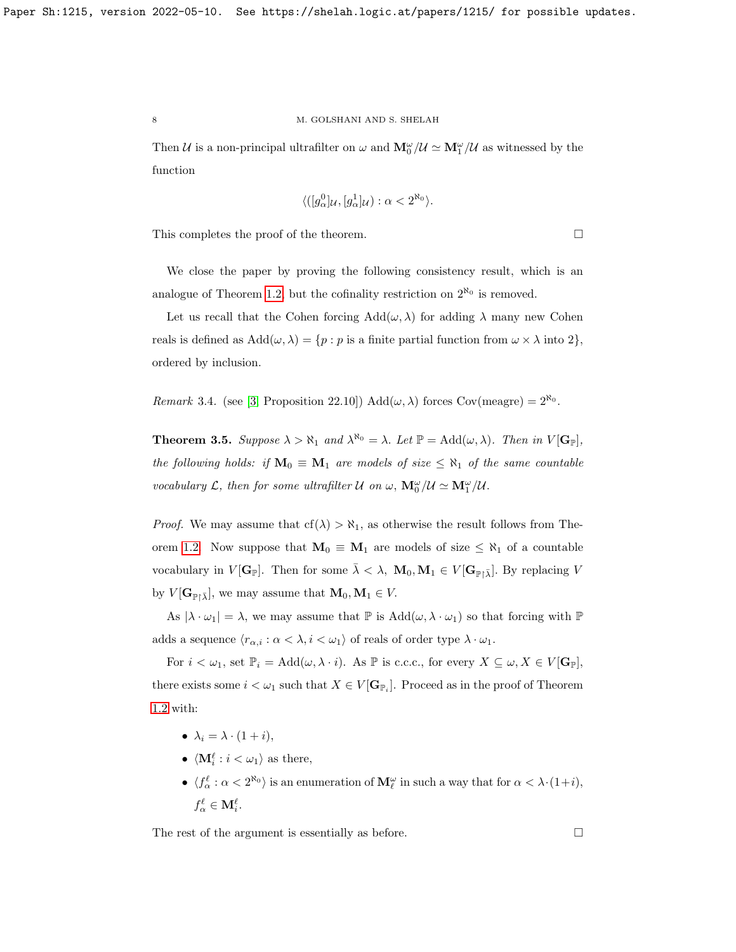Then U is a non-principal ultrafilter on  $\omega$  and  $M_0^{\omega}/U \simeq M_1^{\omega}/U$  as witnessed by the function

$$
\langle ([g_\alpha^0]_\mathcal{U}, [g_\alpha^1]_\mathcal{U}):\alpha < 2^{\aleph_0} \rangle.
$$

This completes the proof of the theorem.

We close the paper by proving the following consistency result, which is an analogue of Theorem [1.2,](#page-1-2) but the cofinality restriction on  $2^{\aleph_0}$  is removed.

Let us recall that the Cohen forcing  $Add(\omega, \lambda)$  for adding  $\lambda$  many new Cohen reals is defined as  $Add(\omega, \lambda) = \{p : p \text{ is a finite partial function from } \omega \times \lambda \text{ into } 2\},\$ ordered by inclusion.

Remark 3.4. (see [\[3,](#page-8-7) Proposition 22.10])  $Add(\omega, \lambda)$  forces Cov(meagre) =  $2^{\aleph_0}$ .

**Theorem 3.5.** Suppose  $\lambda > \aleph_1$  and  $\lambda^{\aleph_0} = \lambda$ . Let  $\mathbb{P} = \text{Add}(\omega, \lambda)$ . Then in  $V[\mathbf{G}_{\mathbb{P}}]$ , the following holds: if  $M_0 \equiv M_1$  are models of size  $\leq \aleph_1$  of the same countable vocabulary  $\mathcal{L}$ , then for some ultrafilter  $\mathcal{U}$  on  $\omega$ ,  $\mathbf{M}_{0}^{\omega}/\mathcal{U} \simeq \mathbf{M}_{1}^{\omega}/\mathcal{U}$ .

*Proof.* We may assume that  $cf(\lambda) > \aleph_1$ , as otherwise the result follows from The-orem [1.2.](#page-1-2) Now suppose that  $M_0 \equiv M_1$  are models of size  $\leq \aleph_1$  of a countable vocabulary in  $V[\mathbf{G}_{\mathbb{P}}]$ . Then for some  $\bar{\lambda} < \lambda$ ,  $\mathbf{M}_0, \mathbf{M}_1 \in V[\mathbf{G}_{\mathbb{P}} \setminus \bar{\lambda}]$ . By replacing V by  $V[\mathbf{G}_{\mathbb{P}\upharpoonright\bar{\lambda}}]$ , we may assume that  $\mathbf{M}_0, \mathbf{M}_1 \in V$ .

As  $|\lambda \cdot \omega_1| = \lambda$ , we may assume that  $\mathbb P$  is  $Add(\omega, \lambda \cdot \omega_1)$  so that forcing with  $\mathbb P$ adds a sequence  $\langle r_{\alpha,i} : \alpha < \lambda, i < \omega_1 \rangle$  of reals of order type  $\lambda \cdot \omega_1$ .

For  $i < \omega_1$ , set  $\mathbb{P}_i = \text{Add}(\omega, \lambda \cdot i)$ . As  $\mathbb P$  is c.c.c., for every  $X \subseteq \omega, X \in V[\mathbf{G}_{\mathbb{P}}]$ , there exists some  $i < \omega_1$  such that  $X \in V[\mathbf{G}_{\mathbb{P}_i}]$ . Proceed as in the proof of Theorem [1.2](#page-1-2) with:

- $\lambda_i = \lambda \cdot (1 + i)$ ,
- $\langle \mathbf{M}_i^{\ell} : i < \omega_1 \rangle$  as there,
- $\langle f^{\ell}_{\alpha} : \alpha < 2^{\aleph_0} \rangle$  is an enumeration of  $\mathbf{M}_{\ell}^{\omega}$  in such a way that for  $\alpha < \lambda \cdot (1+i)$ ,  $f_\alpha^\ell \in \mathbf{M}_i^\ell.$

The rest of the argument is essentially as before.  $\Box$